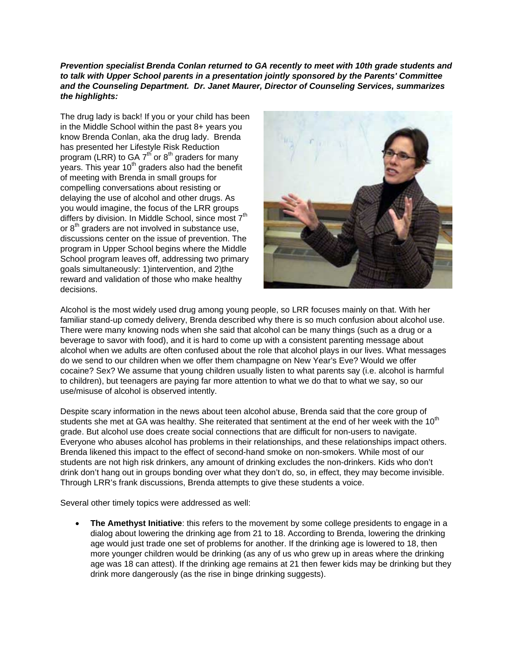## *Prevention specialist Brenda Conlan returned to GA recently to meet with 10th grade students and to talk with Upper School parents in a presentation jointly sponsored by the Parents' Committee and the Counseling Department. Dr. Janet Maurer, Director of Counseling Services, summarizes the highlights:*

The drug lady is back! If you or your child has been in the Middle School within the past 8+ years you know Brenda Conlan, aka the drug lady. Brenda has presented her Lifestyle Risk Reduction program (LRR) to GA  $7<sup>th</sup>$  or  $8<sup>th</sup>$  graders for many years. This year  $10<sup>th</sup>$  graders also had the benefit of meeting with Brenda in small groups for compelling conversations about resisting or delaying the use of alcohol and other drugs. As you would imagine, the focus of the LRR groups differs by division. In Middle School, since most 7<sup>th</sup> or  $8<sup>th</sup>$  graders are not involved in substance use, discussions center on the issue of prevention. The program in Upper School begins where the Middle School program leaves off, addressing two primary goals simultaneously: 1)intervention, and 2)the reward and validation of those who make healthy decisions.



Alcohol is the most widely used drug among young people, so LRR focuses mainly on that. With her familiar stand-up comedy delivery, Brenda described why there is so much confusion about alcohol use. There were many knowing nods when she said that alcohol can be many things (such as a drug or a beverage to savor with food), and it is hard to come up with a consistent parenting message about alcohol when we adults are often confused about the role that alcohol plays in our lives. What messages do we send to our children when we offer them champagne on New Year's Eve? Would we offer cocaine? Sex? We assume that young children usually listen to what parents say (i.e. alcohol is harmful to children), but teenagers are paying far more attention to what we do that to what we say, so our use/misuse of alcohol is observed intently.

Despite scary information in the news about teen alcohol abuse, Brenda said that the core group of students she met at GA was healthy. She reiterated that sentiment at the end of her week with the  $10<sup>th</sup>$ grade. But alcohol use does create social connections that are difficult for non-users to navigate. Everyone who abuses alcohol has problems in their relationships, and these relationships impact others. Brenda likened this impact to the effect of second-hand smoke on non-smokers. While most of our students are not high risk drinkers, any amount of drinking excludes the non-drinkers. Kids who don't drink don't hang out in groups bonding over what they don't do, so, in effect, they may become invisible. Through LRR's frank discussions, Brenda attempts to give these students a voice.

Several other timely topics were addressed as well:

 **The Amethyst Initiative**: this refers to the movement by some college presidents to engage in a dialog about lowering the drinking age from 21 to 18. According to Brenda, lowering the drinking age would just trade one set of problems for another. If the drinking age is lowered to 18, then more younger children would be drinking (as any of us who grew up in areas where the drinking age was 18 can attest). If the drinking age remains at 21 then fewer kids may be drinking but they drink more dangerously (as the rise in binge drinking suggests).